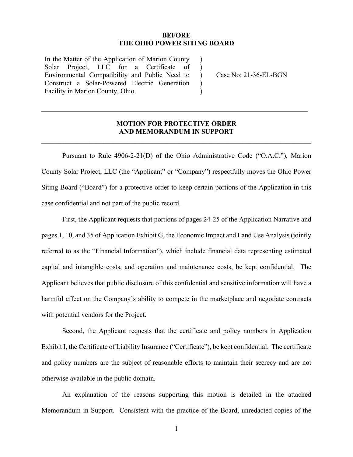#### **BEFORE THE OHIO POWER SITING BOARD**

 $\lambda$  $\lambda$ 

 $\mathcal{L}$  $\mathcal{L}$ 

In the Matter of the Application of Marion County Solar Project, LLC for a Certificate of Environmental Compatibility and Public Need to Construct a Solar-Powered Electric Generation Facility in Marion County, Ohio.

) Case No: 21-36-EL-BGN

## **MOTION FOR PROTECTIVE ORDER AND MEMORANDUM IN SUPPORT**

**\_\_\_\_\_\_\_\_\_\_\_\_\_\_\_\_\_\_\_\_\_\_\_\_\_\_\_\_\_\_\_\_\_\_\_\_\_\_\_\_\_\_\_\_\_\_\_\_\_\_\_\_\_\_\_\_\_\_\_\_\_\_\_\_\_\_\_\_\_\_\_\_\_\_\_\_\_\_** 

 $\_$  , and the set of the set of the set of the set of the set of the set of the set of the set of the set of the set of the set of the set of the set of the set of the set of the set of the set of the set of the set of th

Pursuant to Rule 4906-2-21(D) of the Ohio Administrative Code ("O.A.C."), Marion County Solar Project, LLC (the "Applicant" or "Company") respectfully moves the Ohio Power Siting Board ("Board") for a protective order to keep certain portions of the Application in this case confidential and not part of the public record.

 First, the Applicant requests that portions of pages 24-25 of the Application Narrative and pages 1, 10, and 35 of Application Exhibit G, the Economic Impact and Land Use Analysis (jointly referred to as the "Financial Information"), which include financial data representing estimated capital and intangible costs, and operation and maintenance costs, be kept confidential. The Applicant believes that public disclosure of this confidential and sensitive information will have a harmful effect on the Company's ability to compete in the marketplace and negotiate contracts with potential vendors for the Project.

 Second, the Applicant requests that the certificate and policy numbers in Application Exhibit I, the Certificate of Liability Insurance ("Certificate"), be kept confidential. The certificate and policy numbers are the subject of reasonable efforts to maintain their secrecy and are not otherwise available in the public domain.

 An explanation of the reasons supporting this motion is detailed in the attached Memorandum in Support. Consistent with the practice of the Board, unredacted copies of the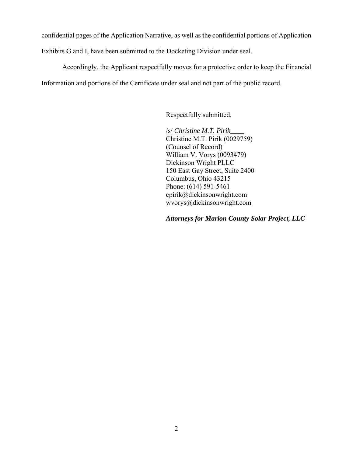confidential pages of the Application Narrative, as well as the confidential portions of Application

Exhibits G and I, have been submitted to the Docketing Division under seal.

 Accordingly, the Applicant respectfully moves for a protective order to keep the Financial Information and portions of the Certificate under seal and not part of the public record.

Respectfully submitted,

/s/ *Christine M.T. Pirik\_\_\_\_* Christine M.T. Pirik (0029759) (Counsel of Record) William V. Vorys (0093479) Dickinson Wright PLLC 150 East Gay Street, Suite 2400 Columbus, Ohio 43215 Phone: (614) 591-5461 cpirik@dickinsonwright.com wvorys@dickinsonwright.com

*Attorneys for Marion County Solar Project, LLC*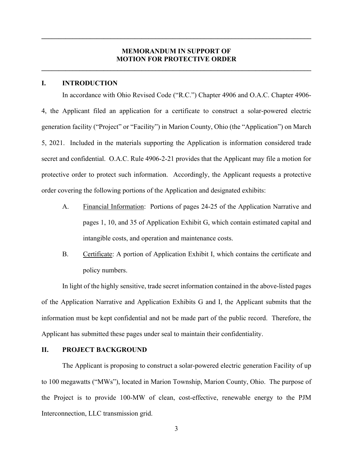### **MEMORANDUM IN SUPPORT OF MOTION FOR PROTECTIVE ORDER**

**\_\_\_\_\_\_\_\_\_\_\_\_\_\_\_\_\_\_\_\_\_\_\_\_\_\_\_\_\_\_\_\_\_\_\_\_\_\_\_\_\_\_\_\_\_\_\_\_\_\_\_\_\_\_\_\_\_\_\_\_\_\_\_\_\_\_\_\_\_\_\_\_\_\_\_\_\_\_** 

**\_\_\_\_\_\_\_\_\_\_\_\_\_\_\_\_\_\_\_\_\_\_\_\_\_\_\_\_\_\_\_\_\_\_\_\_\_\_\_\_\_\_\_\_\_\_\_\_\_\_\_\_\_\_\_\_\_\_\_\_\_\_\_\_\_\_\_\_\_\_\_\_\_\_\_\_\_\_** 

#### **I. INTRODUCTION**

 In accordance with Ohio Revised Code ("R.C.") Chapter 4906 and O.A.C. Chapter 4906- 4, the Applicant filed an application for a certificate to construct a solar-powered electric generation facility ("Project" or "Facility") in Marion County, Ohio (the "Application") on March 5, 2021. Included in the materials supporting the Application is information considered trade secret and confidential. O.A.C. Rule 4906-2-21 provides that the Applicant may file a motion for protective order to protect such information. Accordingly, the Applicant requests a protective order covering the following portions of the Application and designated exhibits:

- A. Financial Information: Portions of pages 24-25 of the Application Narrative and pages 1, 10, and 35 of Application Exhibit G, which contain estimated capital and intangible costs, and operation and maintenance costs.
- B. Certificate: A portion of Application Exhibit I, which contains the certificate and policy numbers.

 In light of the highly sensitive, trade secret information contained in the above-listed pages of the Application Narrative and Application Exhibits G and I, the Applicant submits that the information must be kept confidential and not be made part of the public record. Therefore, the Applicant has submitted these pages under seal to maintain their confidentiality.

### **II. PROJECT BACKGROUND**

 The Applicant is proposing to construct a solar-powered electric generation Facility of up to 100 megawatts ("MWs"), located in Marion Township, Marion County, Ohio. The purpose of the Project is to provide 100-MW of clean, cost-effective, renewable energy to the PJM Interconnection, LLC transmission grid.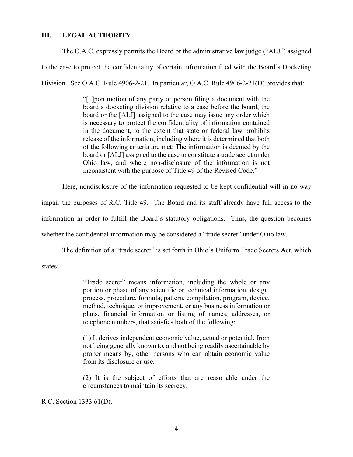### **III. LEGAL AUTHORITY**

The O.A.C. expressly permits the Board or the administrative law judge ("ALJ") assigned

to the case to protect the confidentiality of certain information filed with the Board's Docketing

Division. See O.A.C. Rule 4906-2-21. In particular, O.A.C. Rule 4906-2-21(D) provides that:

"[u]pon motion of any party or person filing a document with the board's docketing division relative to a case before the board, the board or the [ALJ] assigned to the case may issue any order which is necessary to protect the confidentiality of information contained in the document, to the extent that state or federal law prohibits release of the information, including where it is determined that both of the following criteria are met: The information is deemed by the board or [ALJ] assigned to the case to constitute a trade secret under Ohio law, and where non-disclosure of the information is not inconsistent with the purpose of Title 49 of the Revised Code."

Here, nondisclosure of the information requested to be kept confidential will in no way

impair the purposes of R.C. Title 49. The Board and its staff already have full access to the

information in order to fulfill the Board's statutory obligations. Thus, the question becomes

whether the confidential information may be considered a "trade secret" under Ohio law.

The definition of a "trade secret" is set forth in Ohio's Uniform Trade Secrets Act, which

states:

"Trade secret" means information, including the whole or any portion or phase of any scientific or technical information, design, process, procedure, formula, pattern, compilation, program, device, method, technique, or improvement, or any business information or plans, financial information or listing of names, addresses, or telephone numbers, that satisfies both of the following:

(1) It derives independent economic value, actual or potential, from not being generally known to, and not being readily ascertainable by proper means by, other persons who can obtain economic value from its disclosure or use.

(2) It is the subject of efforts that are reasonable under the circumstances to maintain its secrecy.

R.C. Section 1333.61(D).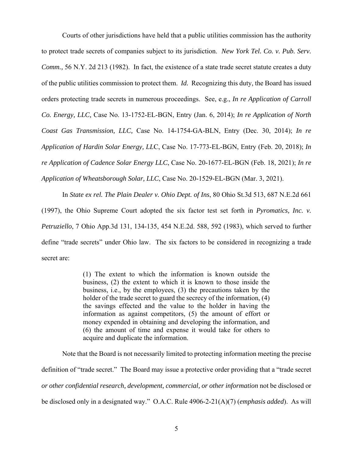Courts of other jurisdictions have held that a public utilities commission has the authority to protect trade secrets of companies subject to its jurisdiction. *New York Tel. Co. v. Pub. Serv. Comm.,* 56 N.Y. 2d 213 (1982). In fact, the existence of a state trade secret statute creates a duty of the public utilities commission to protect them. *Id.* Recognizing this duty, the Board has issued orders protecting trade secrets in numerous proceedings. See, e.g., *In re Application of Carroll Co. Energy, LLC,* Case No. 13-1752-EL-BGN, Entry (Jan. 6, 2014); *In re Application of North Coast Gas Transmission, LLC,* Case No. 14-1754-GA-BLN, Entry (Dec. 30, 2014); *In re Application of Hardin Solar Energy, LL*C, Case No. 17-773-EL-BGN, Entry (Feb. 20, 2018); *In re Application of Cadence Solar Energy LLC*, Case No. 20-1677-EL-BGN (Feb. 18, 2021); *In re Application of Wheatsborough Solar, LLC*, Case No. 20-1529-EL-BGN (Mar. 3, 2021).

 In *State ex rel. The Plain Dealer v. Ohio Dept. of Ins*, 80 Ohio St.3d 513, 687 N.E.2d 661 (1997), the Ohio Supreme Court adopted the six factor test set forth in *Pyromatics, Inc. v. Petruziello*, 7 Ohio App.3d 131, 134-135, 454 N.E.2d. 588, 592 (1983), which served to further define "trade secrets" under Ohio law. The six factors to be considered in recognizing a trade secret are:

> (1) The extent to which the information is known outside the business, (2) the extent to which it is known to those inside the business, i.e., by the employees, (3) the precautions taken by the holder of the trade secret to guard the secrecy of the information, (4) the savings effected and the value to the holder in having the information as against competitors, (5) the amount of effort or money expended in obtaining and developing the information, and (6) the amount of time and expense it would take for others to acquire and duplicate the information.

 Note that the Board is not necessarily limited to protecting information meeting the precise definition of "trade secret." The Board may issue a protective order providing that a "trade secret *or other confidential research, development, commercial, or other information* not be disclosed or be disclosed only in a designated way." O.A.C. Rule 4906-2-21(A)(7) (*emphasis added*). As will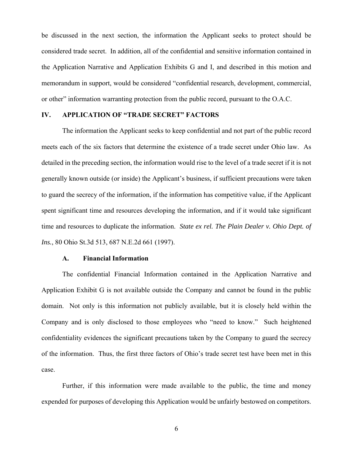be discussed in the next section, the information the Applicant seeks to protect should be considered trade secret. In addition, all of the confidential and sensitive information contained in the Application Narrative and Application Exhibits G and I, and described in this motion and memorandum in support, would be considered "confidential research, development, commercial, or other" information warranting protection from the public record, pursuant to the O.A.C.

### **IV. APPLICATION OF "TRADE SECRET" FACTORS**

The information the Applicant seeks to keep confidential and not part of the public record meets each of the six factors that determine the existence of a trade secret under Ohio law. As detailed in the preceding section, the information would rise to the level of a trade secret if it is not generally known outside (or inside) the Applicant's business, if sufficient precautions were taken to guard the secrecy of the information, if the information has competitive value, if the Applicant spent significant time and resources developing the information, and if it would take significant time and resources to duplicate the information. *State ex rel. The Plain Dealer v. Ohio Dept. of Ins.*, 80 Ohio St.3d 513, 687 N.E.2d 661 (1997).

#### **A. Financial Information**

The confidential Financial Information contained in the Application Narrative and Application Exhibit G is not available outside the Company and cannot be found in the public domain. Not only is this information not publicly available, but it is closely held within the Company and is only disclosed to those employees who "need to know." Such heightened confidentiality evidences the significant precautions taken by the Company to guard the secrecy of the information. Thus, the first three factors of Ohio's trade secret test have been met in this case.

 Further, if this information were made available to the public, the time and money expended for purposes of developing this Application would be unfairly bestowed on competitors.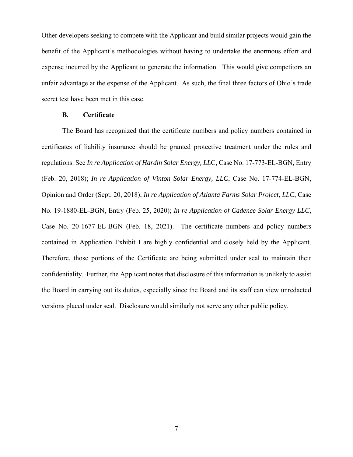Other developers seeking to compete with the Applicant and build similar projects would gain the benefit of the Applicant's methodologies without having to undertake the enormous effort and expense incurred by the Applicant to generate the information. This would give competitors an unfair advantage at the expense of the Applicant. As such, the final three factors of Ohio's trade secret test have been met in this case.

#### **B. Certificate**

The Board has recognized that the certificate numbers and policy numbers contained in certificates of liability insurance should be granted protective treatment under the rules and regulations. See *In re Application of Hardin Solar Energy, LL*C, Case No. 17-773-EL-BGN, Entry (Feb. 20, 2018); *In re Application of Vinton Solar Energy, LLC*, Case No. 17-774-EL-BGN, Opinion and Order (Sept. 20, 2018); *In re Application of Atlanta Farms Solar Project, LLC*, Case No. 19-1880-EL-BGN, Entry (Feb. 25, 2020); *In re Application of Cadence Solar Energy LLC*, Case No. 20-1677-EL-BGN (Feb. 18, 2021). The certificate numbers and policy numbers contained in Application Exhibit I are highly confidential and closely held by the Applicant. Therefore, those portions of the Certificate are being submitted under seal to maintain their confidentiality. Further, the Applicant notes that disclosure of this information is unlikely to assist the Board in carrying out its duties, especially since the Board and its staff can view unredacted versions placed under seal. Disclosure would similarly not serve any other public policy.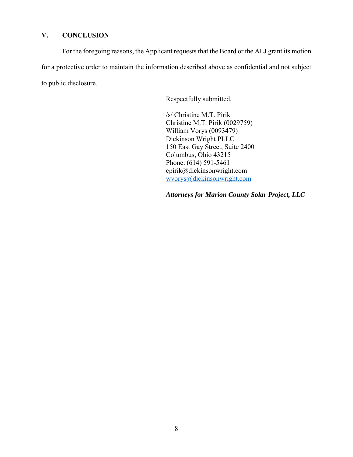# **V. CONCLUSION**

For the foregoing reasons, the Applicant requests that the Board or the ALJ grant its motion for a protective order to maintain the information described above as confidential and not subject to public disclosure.

Respectfully submitted,

/s/ Christine M.T. Pirik Christine M.T. Pirik (0029759) William Vorys (0093479) Dickinson Wright PLLC 150 East Gay Street, Suite 2400 Columbus, Ohio 43215 Phone: (614) 591-5461 cpirik@dickinsonwright.com wvorys@dickinsonwright.com

*Attorneys for Marion County Solar Project, LLC*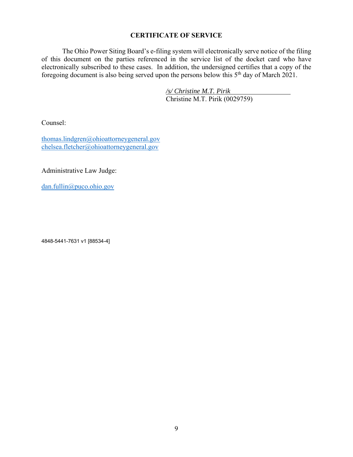## **CERTIFICATE OF SERVICE**

The Ohio Power Siting Board's e-filing system will electronically serve notice of the filing of this document on the parties referenced in the service list of the docket card who have electronically subscribed to these cases. In addition, the undersigned certifies that a copy of the foregoing document is also being served upon the persons below this  $5<sup>th</sup>$  day of March 2021.

> */s/ Christine M.T. Pirik*  Christine M.T. Pirik (0029759)

Counsel:

thomas.lindgren@ohioattorneygeneral.gov chelsea.fletcher@ohioattorneygeneral.gov

Administrative Law Judge:

dan.fullin@puco.ohio.gov

4848-5441-7631 v1 [88534-4]